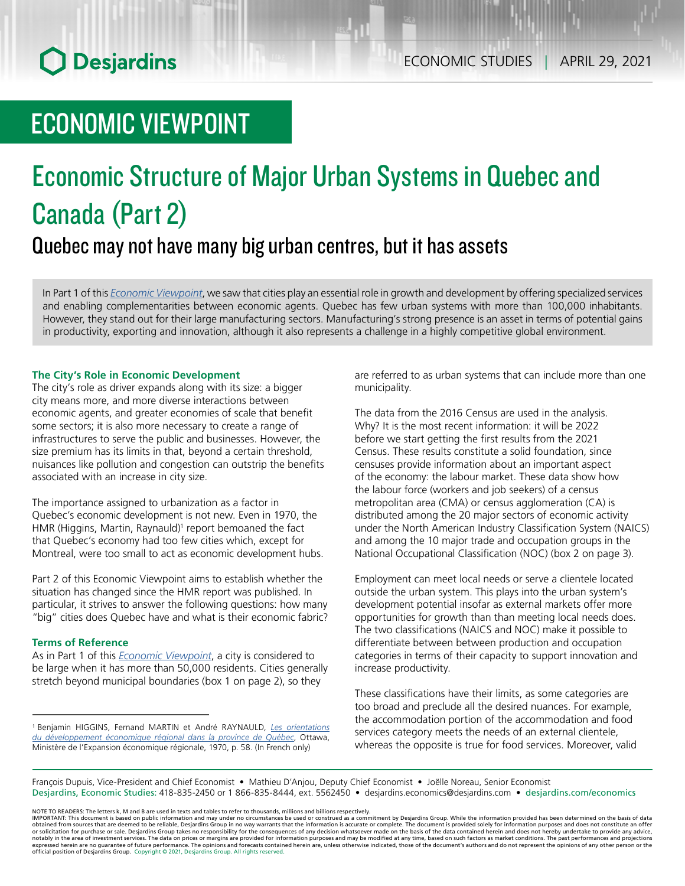## ECONOMIC VIEWPOINT

## Economic Structure of Major Urban Systems in Quebec and Canada (Part 2) Quebec may not have many big urban centres, but it has assets

In Part 1 of this *[Economic Viewpoint](https://www.desjardins.com/ressources/pdf/pv042221e.pdf?resVer=1619183349000)*, we saw that cities play an essential role in growth and development by offering specialized services and enabling complementarities between economic agents. Quebec has few urban systems with more than 100,000 inhabitants. However, they stand out for their large manufacturing sectors. Manufacturing's strong presence is an asset in terms of potential gains in productivity, exporting and innovation, although it also represents a challenge in a highly competitive global environment.

#### **The City's Role in Economic Development**

The city's role as driver expands along with its size: a bigger city means more, and more diverse interactions between economic agents, and greater economies of scale that benefit some sectors; it is also more necessary to create a range of infrastructures to serve the public and businesses. However, the size premium has its limits in that, beyond a certain threshold, nuisances like pollution and congestion can outstrip the benefits associated with an increase in city size.

The importance assigned to urbanization as a factor in Quebec's economic development is not new. Even in 1970, the HMR (Higgins, Martin, Raynauld)<sup>1</sup> report bemoaned the fact that Quebec's economy had too few cities which, except for Montreal, were too small to act as economic development hubs.

Part 2 of this Economic Viewpoint aims to establish whether the situation has changed since the HMR report was published. In particular, it strives to answer the following questions: how many "big" cities does Quebec have and what is their economic fabric?

#### **Terms of Reference**

As in Part 1 of this *[Economic Viewpoint](https://www.desjardins.com/ressources/pdf/pv042221e.pdf?resVer=1619183349000)*, a city is considered to be large when it has more than 50,000 residents. Cities generally stretch beyond municipal boundaries (box 1 on page 2), so they

<sup>1</sup> Benjamin HIGGINS, Fernand MARTIN et André RAYNAULD, *[Les orientations](http://classiques.uqac.ca/contemporains/martin_raynauld/orientation_devel_regional/orientation_devel.html)  [du développement économique régional dans la province de Québec](http://classiques.uqac.ca/contemporains/martin_raynauld/orientation_devel_regional/orientation_devel.html)*, Ottawa, Ministère de l'Expansion économique régionale, 1970, p. 58. (In French only)

are referred to as urban systems that can include more than one municipality.

The data from the 2016 Census are used in the analysis. Why? It is the most recent information: it will be 2022 before we start getting the first results from the 2021 Census. These results constitute a solid foundation, since censuses provide information about an important aspect of the economy: the labour market. These data show how the labour force (workers and job seekers) of a census metropolitan area (CMA) or census agglomeration (CA) is distributed among the 20 major sectors of economic activity under the North American Industry Classification System (NAICS) and among the 10 major trade and occupation groups in the National Occupational Classification (NOC) (box 2 on page 3).

Employment can meet local needs or serve a clientele located outside the urban system. This plays into the urban system's development potential insofar as external markets offer more opportunities for growth than than meeting local needs does. The two classifications (NAICS and NOC) make it possible to differentiate between between production and occupation categories in terms of their capacity to support innovation and increase productivity.

These classifications have their limits, as some categories are too broad and preclude all the desired nuances. For example, the accommodation portion of the accommodation and food services category meets the needs of an external clientele, whereas the opposite is true for food services. Moreover, valid

François Dupuis, Vice-President and Chief Economist • Mathieu D'Anjou, Deputy Chief Economist • Joëlle Noreau, Senior Economist Desjardins, Economic Studies: 418-835-2450 or 1 866-835-8444, ext. 5562450 • desjardins.economics@desjardins.com • desjardins.com/economics

NOTE TO READERS: The letters k, M and B are used in texts and tables to refer to thousands, millions and billions respectively.<br>IMPORTANT: This document is based on public information and may under no circumstances be used obtained from sources that are deemed to be reliable, Desjardins Group in no way warrants that the information is accurate or complete. The document is provided solely for information purposes and does not constitute an of official position of Desjardins Group. Copyright © 2021, Desjardins Group. All rights reserved.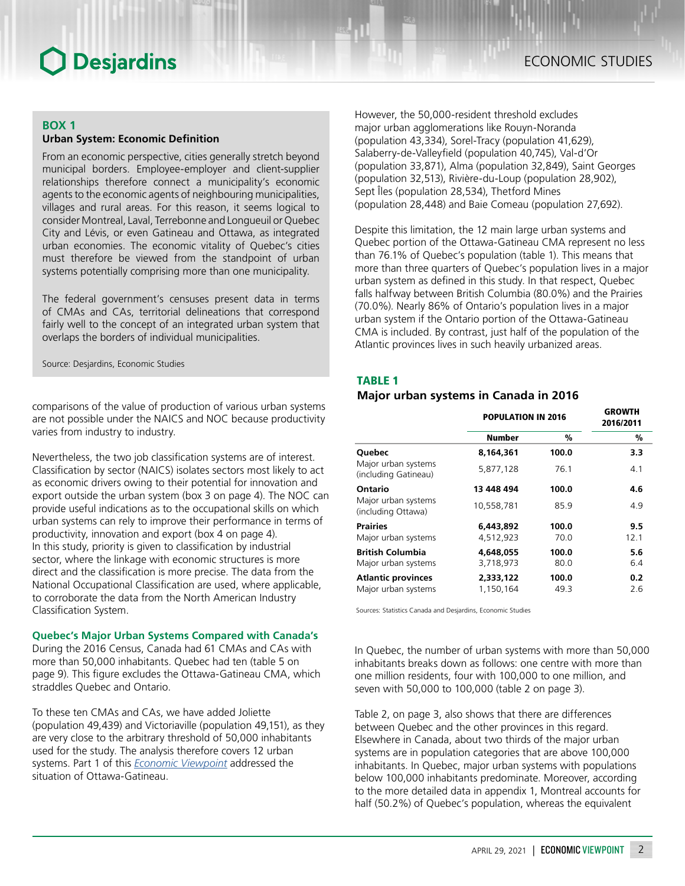#### **BOX 1**

#### **Urban System: Economic Definition**

From an economic perspective, cities generally stretch beyond municipal borders. Employee-employer and client-supplier relationships therefore connect a municipality's economic agents to the economic agents of neighbouring municipalities, villages and rural areas. For this reason, it seems logical to consider Montreal, Laval, Terrebonne and Longueuil or Quebec City and Lévis, or even Gatineau and Ottawa, as integrated urban economies. The economic vitality of Quebec's cities must therefore be viewed from the standpoint of urban systems potentially comprising more than one municipality.

The federal government's censuses present data in terms of CMAs and CAs, territorial delineations that correspond fairly well to the concept of an integrated urban system that overlaps the borders of individual municipalities.

Source: Desjardins, Economic Studies

comparisons of the value of production of various urban systems are not possible under the NAICS and NOC because productivity varies from industry to industry.

Nevertheless, the two job classification systems are of interest. Classification by sector (NAICS) isolates sectors most likely to act as economic drivers owing to their potential for innovation and export outside the urban system (box 3 on page 4). The NOC can provide useful indications as to the occupational skills on which urban systems can rely to improve their performance in terms of productivity, innovation and export (box 4 on page 4). In this study, priority is given to classification by industrial sector, where the linkage with economic structures is more direct and the classification is more precise. The data from the National Occupational Classification are used, where applicable, to corroborate the data from the North American Industry Classification System.

#### **Quebec's Major Urban Systems Compared with Canada's**

During the 2016 Census, Canada had 61 CMAs and CAs with more than 50,000 inhabitants. Quebec had ten (table 5 on page 9). This figure excludes the Ottawa-Gatineau CMA, which straddles Quebec and Ontario.

To these ten CMAs and CAs, we have added Joliette (population 49,439) and Victoriaville (population 49,151), as they are very close to the arbitrary threshold of 50,000 inhabitants used for the study. The analysis therefore covers 12 urban systems. Part 1 of this *[Economic Viewpoint](https://www.desjardins.com/ressources/pdf/pv042221e.pdf?resVer=1619183349000)* addressed the situation of Ottawa-Gatineau.

However, the 50,000-resident threshold excludes major urban agglomerations like Rouyn-Noranda (population 43,334), Sorel-Tracy (population 41,629), Salaberry‑de‑Valleyfield (population 40,745), Val-d'Or (population 33,871), Alma (population 32,849), Saint Georges (population 32,513), Rivière-du-Loup (population 28,902), Sept Îles (population 28,534), Thetford Mines (population 28,448) and Baie Comeau (population 27,692).

Despite this limitation, the 12 main large urban systems and Quebec portion of the Ottawa-Gatineau CMA represent no less than 76.1% of Quebec's population (table 1). This means that more than three quarters of Quebec's population lives in a major urban system as defined in this study. In that respect, Quebec falls halfway between British Columbia (80.0%) and the Prairies (70.0%). Nearly 86% of Ontario's population lives in a major urban system if the Ontario portion of the Ottawa-Gatineau CMA is included. By contrast, just half of the population of the Atlantic provinces lives in such heavily urbanized areas.

#### TABLE 1

#### *Major urban systems in Canada in 2016*

|                                                  | <b>POPULATION IN 2016</b> | <b>GROWTH</b><br>2016/2011 |            |  |
|--------------------------------------------------|---------------------------|----------------------------|------------|--|
|                                                  | Number                    | %                          | %          |  |
| <b>Ouebec</b>                                    | 8.164.361                 | 100.0                      | 3.3        |  |
| Major urban systems<br>(including Gatineau)      | 5.877.128                 | 76.1                       | 4.1        |  |
| Ontario                                          | 13 448 494                | 100.0                      | 4.6        |  |
| Major urban systems<br>(including Ottawa)        | 10.558.781                | 85.9                       | 4.9        |  |
| <b>Prairies</b>                                  | 6,443,892                 | 100.0                      | 9.5        |  |
| Major urban systems                              | 4,512,923                 | 70.0                       | 12.1       |  |
| <b>British Columbia</b><br>Major urban systems   | 4.648,055<br>3,718,973    | 100.0<br>80.0              | 5.6<br>6.4 |  |
| <b>Atlantic provinces</b><br>Major urban systems | 2,333,122<br>1,150,164    | 100.0<br>49.3              | 0.2<br>2.6 |  |

Sources: Statistics Canada and Desjardins, Economic Studies

In Quebec, the number of urban systems with more than 50,000 inhabitants breaks down as follows: one centre with more than one million residents, four with 100,000 to one million, and seven with 50,000 to 100,000 (table 2 on page 3).

Table 2, on page 3, also shows that there are differences between Quebec and the other provinces in this regard. Elsewhere in Canada, about two thirds of the major urban systems are in population categories that are above 100,000 inhabitants. In Quebec, major urban systems with populations below 100,000 inhabitants predominate. Moreover, according to the more detailed data in appendix 1, Montreal accounts for half (50.2%) of Quebec's population, whereas the equivalent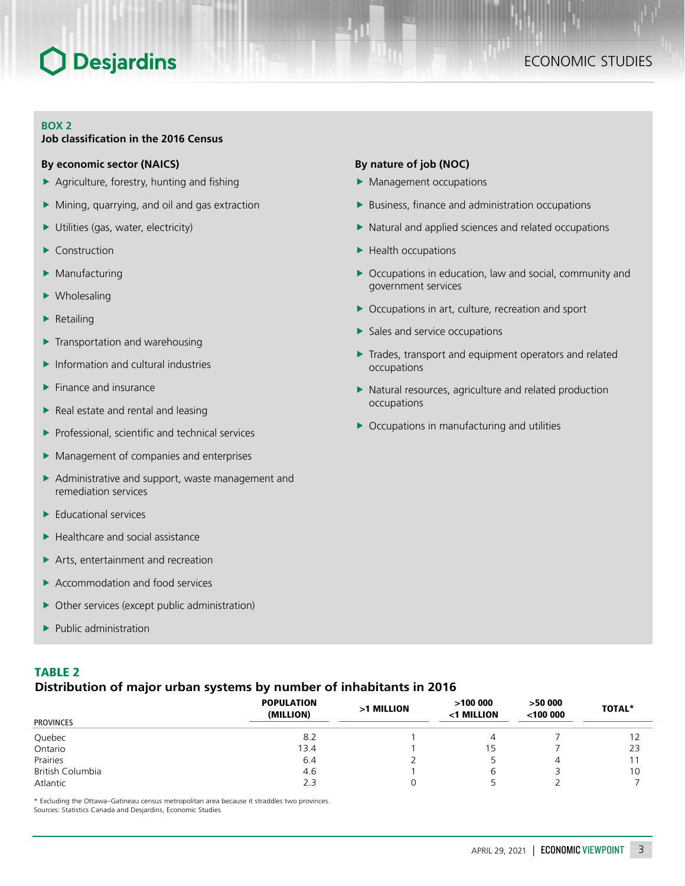### ECONOMIC STUDIES

#### **BOX 2**

#### **Job classification in the 2016 Census**

#### **By economic sector (NAICS)**

- $\blacktriangleright$  Agriculture, forestry, hunting and fishing
- $\blacktriangleright$  Mining, quarrying, and oil and gas extraction
- $\blacktriangleright$  Utilities (gas, water, electricity)
- Construction
- $\blacktriangleright$  Manufacturing
- $\blacktriangleright$  Wholesaling
- $\blacktriangleright$  Retailing
- $\blacktriangleright$  Transportation and warehousing
- $\blacktriangleright$  Information and cultural industries
- $\blacktriangleright$  Finance and insurance
- $\blacktriangleright$  Real estate and rental and leasing
- $\blacktriangleright$  Professional, scientific and technical services
- $\blacktriangleright$  Management of companies and enterprises
- $\blacktriangleright$  Administrative and support, waste management and remediation services
- $\blacktriangleright$  Educational services
- $\blacktriangleright$  Healthcare and social assistance
- $\blacktriangleright$  Arts, entertainment and recreation
- $\blacktriangleright$  Accommodation and food services
- $\triangleright$  Other services (except public administration)
- $\blacktriangleright$  Public administration

#### TABLE 2

#### *Distribution of major urban systems by number of inhabitants in 2016*

| <b>PROVINCES</b> | <b>POPULATION</b><br>(MILLION) | >1 MILLION | >100000<br><1 MILLION | >5000<br>$<$ 100 000 | <b>TOTAL*</b> |
|------------------|--------------------------------|------------|-----------------------|----------------------|---------------|
|                  |                                |            |                       |                      |               |
| Quebec           | 8.2                            |            | 4                     |                      |               |
| Ontario          | 13.4                           |            | 15                    |                      | 23            |
| Prairies         | 6.4                            |            |                       | 4                    |               |
| British Columbia | 4.6                            |            | ь                     |                      | 10            |
| Atlantic         | 2.3                            |            |                       |                      |               |

\* Excluding the Ottawa–Gatineau census metropolitan area because it straddles two provinces.

Sources: Statistics Canada and Desjardins, Economic Studies

#### **By nature of job (NOC)**

- $\blacktriangleright$  Management occupations
- $\blacktriangleright$  Business, finance and administration occupations
- $\blacktriangleright$  Natural and applied sciences and related occupations
- $\blacktriangleright$  Health occupations
- $\triangleright$  Occupations in education, law and social, community and government services
- $\triangleright$  Occupations in art, culture, recreation and sport
- $\blacktriangleright$  Sales and service occupations
- $\blacktriangleright$  Trades, transport and equipment operators and related occupations
- $\blacktriangleright$  Natural resources, agriculture and related production occupations
- $\triangleright$  Occupations in manufacturing and utilities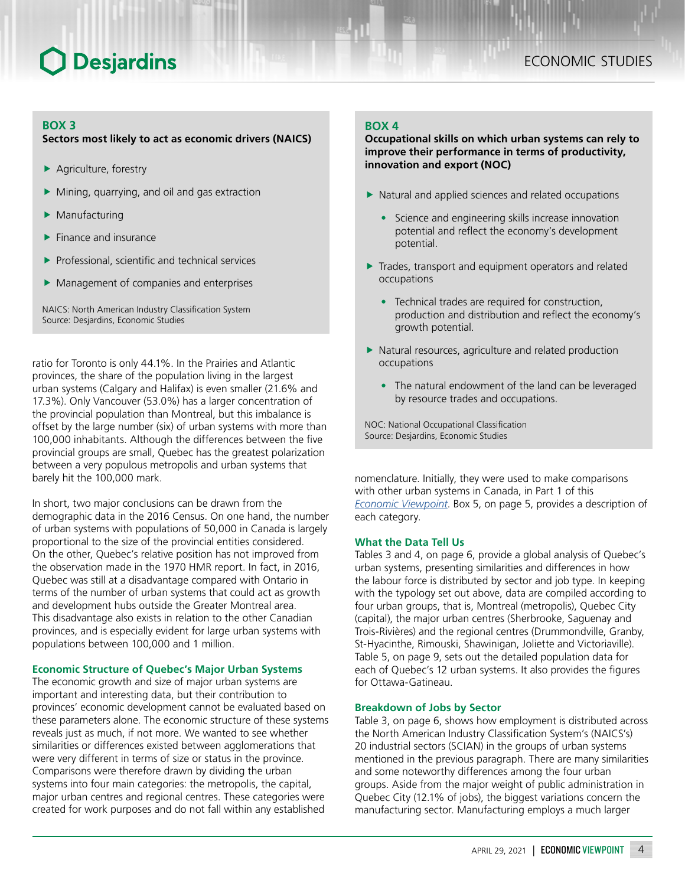#### **BOX 3**

#### **Sectors most likely to act as economic drivers (NAICS)**

- $\blacktriangleright$  Agriculture, forestry
- Mining, quarrying, and oil and gas extraction
- Manufacturing
- $\blacktriangleright$  Finance and insurance
- $\blacktriangleright$  Professional, scientific and technical services
- $\blacktriangleright$  Management of companies and enterprises

NAICS: North American Industry Classification System Source: Desjardins, Economic Studies

ratio for Toronto is only 44.1%. In the Prairies and Atlantic provinces, the share of the population living in the largest urban systems (Calgary and Halifax) is even smaller (21.6% and 17.3%). Only Vancouver (53.0%) has a larger concentration of the provincial population than Montreal, but this imbalance is offset by the large number (six) of urban systems with more than 100,000 inhabitants. Although the differences between the five provincial groups are small, Quebec has the greatest polarization between a very populous metropolis and urban systems that barely hit the 100,000 mark.

In short, two major conclusions can be drawn from the demographic data in the 2016 Census. On one hand, the number of urban systems with populations of 50,000 in Canada is largely proportional to the size of the provincial entities considered. On the other, Quebec's relative position has not improved from the observation made in the 1970 HMR report. In fact, in 2016, Quebec was still at a disadvantage compared with Ontario in terms of the number of urban systems that could act as growth and development hubs outside the Greater Montreal area. This disadvantage also exists in relation to the other Canadian provinces, and is especially evident for large urban systems with populations between 100,000 and 1 million.

#### **Economic Structure of Quebec's Major Urban Systems**

The economic growth and size of major urban systems are important and interesting data, but their contribution to provinces' economic development cannot be evaluated based on these parameters alone. The economic structure of these systems reveals just as much, if not more. We wanted to see whether similarities or differences existed between agglomerations that were very different in terms of size or status in the province. Comparisons were therefore drawn by dividing the urban systems into four main categories: the metropolis, the capital, major urban centres and regional centres. These categories were created for work purposes and do not fall within any established

#### **BOX 4**

**Occupational skills on which urban systems can rely to improve their performance in terms of productivity, innovation and export (NOC)**

- $\blacktriangleright$  Natural and applied sciences and related occupations
	- Science and engineering skills increase innovation potential and reflect the economy's development potential.
- $\blacktriangleright$  Trades, transport and equipment operators and related occupations
	- Technical trades are required for construction, production and distribution and reflect the economy's growth potential.
- $\blacktriangleright$  Natural resources, agriculture and related production occupations
	- The natural endowment of the land can be leveraged by resource trades and occupations.

NOC: National Occupational Classification Source: Desjardins, Economic Studies

nomenclature. Initially, they were used to make comparisons with other urban systems in Canada, in Part 1 of this *Economic [Viewpoint](https://www.desjardins.com/ressources/pdf/pv042221e.pdf?resVer=1619183349000)*. Box 5, on page 5, provides a description of each category.

#### **What the Data Tell Us**

Tables 3 and 4, on page 6, provide a global analysis of Quebec's urban systems, presenting similarities and differences in how the labour force is distributed by sector and job type. In keeping with the typology set out above, data are compiled according to four urban groups, that is, Montreal (metropolis), Quebec City (capital), the major urban centres (Sherbrooke, Saguenay and Trois-Rivières) and the regional centres (Drummondville, Granby, St-Hyacinthe, Rimouski, Shawinigan, Joliette and Victoriaville). Table 5, on page 9, sets out the detailed population data for each of Quebec's 12 urban systems. It also provides the figures for Ottawa-Gatineau.

#### **Breakdown of Jobs by Sector**

Table 3, on page 6, shows how employment is distributed across the North American Industry Classification System's (NAICS's) 20 industrial sectors (SCIAN) in the groups of urban systems mentioned in the previous paragraph. There are many similarities and some noteworthy differences among the four urban groups. Aside from the major weight of public administration in Quebec City (12.1% of jobs), the biggest variations concern the manufacturing sector. Manufacturing employs a much larger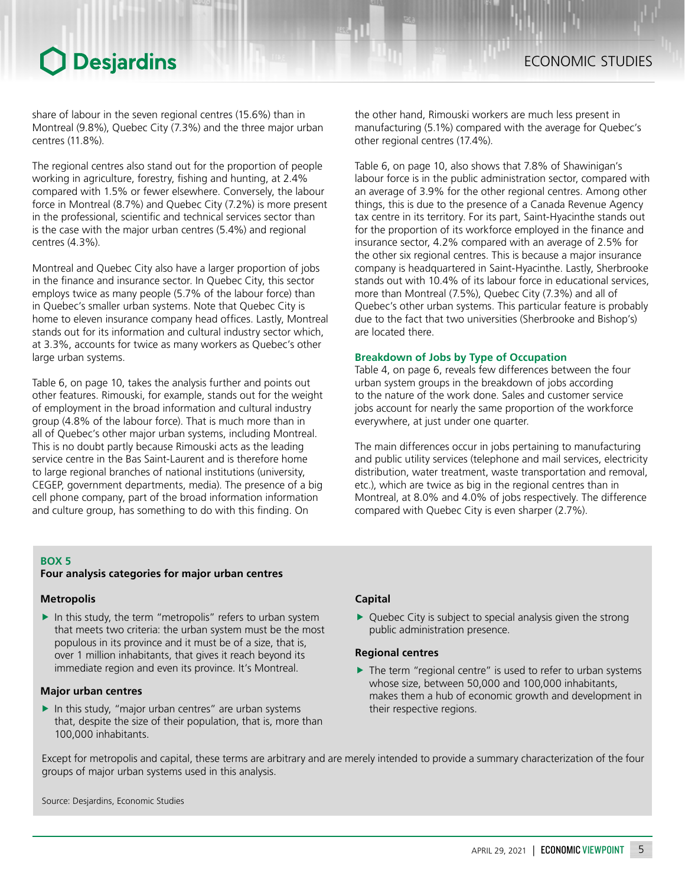share of labour in the seven regional centres (15.6%) than in Montreal (9.8%), Quebec City (7.3%) and the three major urban centres (11.8%).

The regional centres also stand out for the proportion of people working in agriculture, forestry, fishing and hunting, at 2.4% compared with 1.5% or fewer elsewhere. Conversely, the labour force in Montreal (8.7%) and Quebec City (7.2%) is more present in the professional, scientific and technical services sector than is the case with the major urban centres (5.4%) and regional centres (4.3%).

Montreal and Quebec City also have a larger proportion of jobs in the finance and insurance sector. In Quebec City, this sector employs twice as many people (5.7% of the labour force) than in Quebec's smaller urban systems. Note that Quebec City is home to eleven insurance company head offices. Lastly, Montreal stands out for its information and cultural industry sector which, at 3.3%, accounts for twice as many workers as Quebec's other large urban systems.

Table 6, on page 10, takes the analysis further and points out other features. Rimouski, for example, stands out for the weight of employment in the broad information and cultural industry group (4.8% of the labour force). That is much more than in all of Quebec's other major urban systems, including Montreal. This is no doubt partly because Rimouski acts as the leading service centre in the Bas Saint-Laurent and is therefore home to large regional branches of national institutions (university, CEGEP, government departments, media). The presence of a big cell phone company, part of the broad information information and culture group, has something to do with this finding. On

the other hand, Rimouski workers are much less present in manufacturing (5.1%) compared with the average for Quebec's other regional centres (17.4%).

Table 6, on page 10, also shows that 7.8% of Shawinigan's labour force is in the public administration sector, compared with an average of 3.9% for the other regional centres. Among other things, this is due to the presence of a Canada Revenue Agency tax centre in its territory. For its part, Saint-Hyacinthe stands out for the proportion of its workforce employed in the finance and insurance sector, 4.2% compared with an average of 2.5% for the other six regional centres. This is because a major insurance company is headquartered in Saint-Hyacinthe. Lastly, Sherbrooke stands out with 10.4% of its labour force in educational services, more than Montreal (7.5%), Quebec City (7.3%) and all of Quebec's other urban systems. This particular feature is probably due to the fact that two universities (Sherbrooke and Bishop's) are located there.

#### **Breakdown of Jobs by Type of Occupation**

Table 4, on page 6, reveals few differences between the four urban system groups in the breakdown of jobs according to the nature of the work done. Sales and customer service jobs account for nearly the same proportion of the workforce everywhere, at just under one quarter.

The main differences occur in jobs pertaining to manufacturing and public utility services (telephone and mail services, electricity distribution, water treatment, waste transportation and removal, etc.), which are twice as big in the regional centres than in Montreal, at 8.0% and 4.0% of jobs respectively. The difference compared with Quebec City is even sharper (2.7%).

#### **BOX 5**

#### **Four analysis categories for major urban centres**

#### **Metropolis**

 $\blacktriangleright$  In this study, the term "metropolis" refers to urban system that meets two criteria: the urban system must be the most populous in its province and it must be of a size, that is, over 1 million inhabitants, that gives it reach beyond its immediate region and even its province. It's Montreal.

#### **Major urban centres**

 $\blacktriangleright$  In this study, "major urban centres" are urban systems that, despite the size of their population, that is, more than 100,000 inhabitants.

#### **Capital**

 $\triangleright$  Quebec City is subject to special analysis given the strong public administration presence.

#### **Regional centres**

 $\blacktriangleright$  The term "regional centre" is used to refer to urban systems whose size, between 50,000 and 100,000 inhabitants, makes them a hub of economic growth and development in their respective regions.

Except for metropolis and capital, these terms are arbitrary and are merely intended to provide a summary characterization of the four groups of major urban systems used in this analysis.

Source: Desjardins, Economic Studies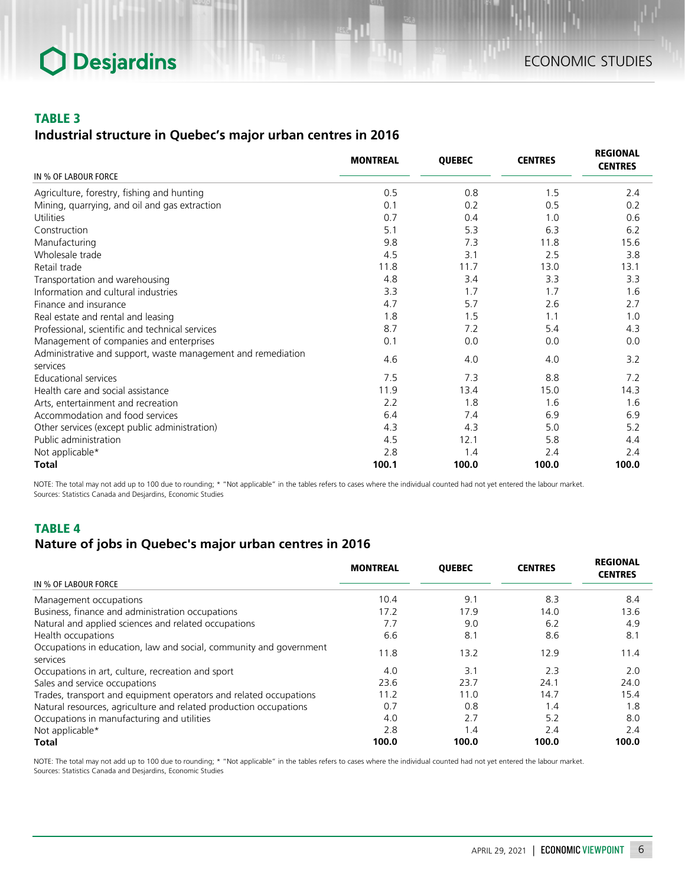#### TABLE 3

### *Industrial structure in Quebec's major urban centres in 2016*

|                                                                          | <b>MONTREAL</b> | <b>QUEBEC</b> | <b>CENTRES</b> | <b>REGIONAL</b><br><b>CENTRES</b> |
|--------------------------------------------------------------------------|-----------------|---------------|----------------|-----------------------------------|
| IN % OF LABOUR FORCE                                                     |                 |               |                |                                   |
| Agriculture, forestry, fishing and hunting                               | 0.5             | 0.8           | 1.5            | 2.4                               |
| Mining, quarrying, and oil and gas extraction                            | 0.1             | 0.2           | 0.5            | 0.2                               |
| Utilities                                                                | 0.7             | 0.4           | 1.0            | 0.6                               |
| Construction                                                             | 5.1             | 5.3           | 6.3            | 6.2                               |
| Manufacturing                                                            | 9.8             | 7.3           | 11.8           | 15.6                              |
| Wholesale trade                                                          | 4.5             | 3.1           | 2.5            | 3.8                               |
| Retail trade                                                             | 11.8            | 11.7          | 13.0           | 13.1                              |
| Transportation and warehousing                                           | 4.8             | 3.4           | 3.3            | 3.3                               |
| Information and cultural industries                                      | 3.3             | 1.7           | 1.7            | 1.6                               |
| Finance and insurance                                                    | 4.7             | 5.7           | 2.6            | 2.7                               |
| Real estate and rental and leasing                                       | 1.8             | 1.5           | 1.1            | 1.0                               |
| Professional, scientific and technical services                          | 8.7             | 7.2           | 5.4            | 4.3                               |
| Management of companies and enterprises                                  | 0.1             | 0.0           | 0.0            | 0.0                               |
| Administrative and support, waste management and remediation<br>services | 4.6             | 4.0           | 4.0            | 3.2                               |
| <b>Educational services</b>                                              | 7.5             | 7.3           | 8.8            | 7.2                               |
| Health care and social assistance                                        | 11.9            | 13.4          | 15.0           | 14.3                              |
| Arts, entertainment and recreation                                       | 2.2             | 1.8           | 1.6            | 1.6                               |
| Accommodation and food services                                          | 6.4             | 7.4           | 6.9            | 6.9                               |
| Other services (except public administration)                            | 4.3             | 4.3           | 5.0            | 5.2                               |
| Public administration                                                    | 4.5             | 12.1          | 5.8            | 4.4                               |
| Not applicable*                                                          | 2.8             | 1.4           | 2.4            | 2.4                               |
| Total                                                                    | 100.1           | 100.0         | 100.0          | 100.0                             |

NOTE: The total may not add up to 100 due to rounding; \* "Not applicable" in the tables refers to cases where the individual counted had not yet entered the labour market. Sources: Statistics Canada and Desjardins, Economic Studies

### TABLE 4

### *Nature of jobs in Quebec's major urban centres in 2016*

|                                                                                | <b>MONTREAL</b> | <b>QUEBEC</b> | <b>CENTRES</b> | <b>REGIONAL</b><br><b>CENTRES</b> |
|--------------------------------------------------------------------------------|-----------------|---------------|----------------|-----------------------------------|
| IN % OF LABOUR FORCE                                                           |                 |               |                |                                   |
| Management occupations                                                         | 10.4            | 9.1           | 8.3            | 8.4                               |
| Business, finance and administration occupations                               | 17.2            | 17.9          | 14.0           | 13.6                              |
| Natural and applied sciences and related occupations                           | 7.7             | 9.0           | 6.2            | 4.9                               |
| Health occupations                                                             | 6.6             | 8.1           | 8.6            | 8.1                               |
| Occupations in education, law and social, community and government<br>services | 11.8            | 13.2          | 12.9           | 11.4                              |
| Occupations in art, culture, recreation and sport                              | 4.0             | 3.1           | 2.3            | 2.0                               |
| Sales and service occupations                                                  | 23.6            | 23.7          | 24.1           | 24.0                              |
| Trades, transport and equipment operators and related occupations              | 11.2            | 11.0          | 14.7           | 15.4                              |
| Natural resources, agriculture and related production occupations              | 0.7             | 0.8           | 1.4            | 1.8                               |
| Occupations in manufacturing and utilities                                     | 4.0             | 2.7           | 5.2            | 8.0                               |
| Not applicable*                                                                | 2.8             | 1.4           | 2.4            | 2.4                               |
| <b>Total</b>                                                                   | 100.0           | 100.0         | 100.0          | 100.0                             |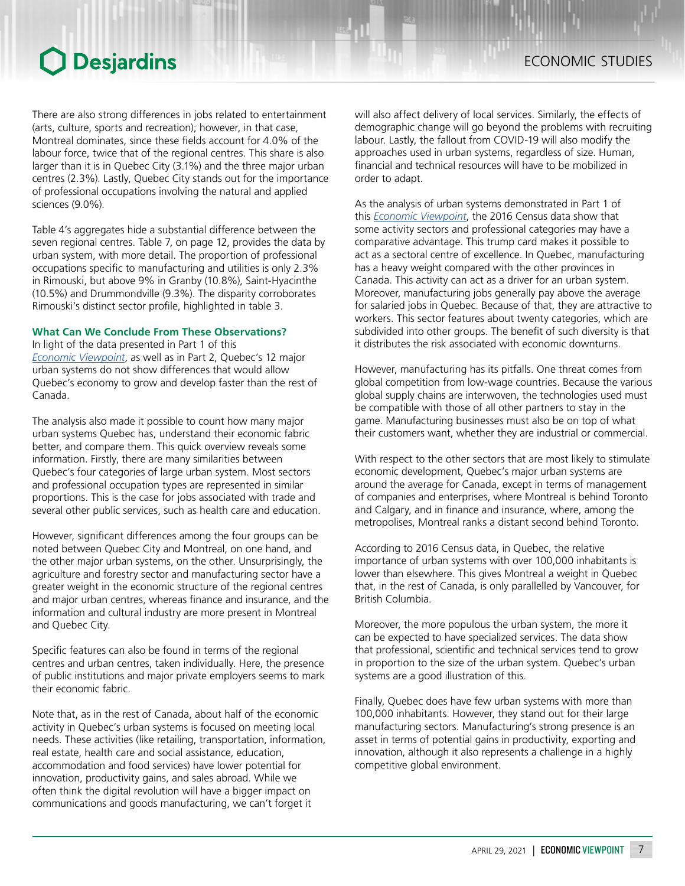larger than it is in Quebec City (3.1%) and the three major urban centres (2.3%). Lastly, Quebec City stands out for the importance of professional occupations involving the natural and applied sciences (9.0%).

Table 4's aggregates hide a substantial difference between the seven regional centres. Table 7, on page 12, provides the data by urban system, with more detail. The proportion of professional occupations specific to manufacturing and utilities is only 2.3% in Rimouski, but above 9% in Granby (10.8%), Saint-Hyacinthe (10.5%) and Drummondville (9.3%). The disparity corroborates Rimouski's distinct sector profile, highlighted in table 3.

#### **What Can We Conclude From These Observations?**

In light of the data presented in Part 1 of this *Economic [Viewpoint](https://www.desjardins.com/ressources/pdf/pv042221e.pdf?resVer=1619183349000)*, as well as in Part 2, Quebec's 12 major urban systems do not show differences that would allow Quebec's economy to grow and develop faster than the rest of Canada.

The analysis also made it possible to count how many major urban systems Quebec has, understand their economic fabric better, and compare them. This quick overview reveals some information. Firstly, there are many similarities between Quebec's four categories of large urban system. Most sectors and professional occupation types are represented in similar proportions. This is the case for jobs associated with trade and several other public services, such as health care and education.

However, significant differences among the four groups can be noted between Quebec City and Montreal, on one hand, and the other major urban systems, on the other. Unsurprisingly, the agriculture and forestry sector and manufacturing sector have a greater weight in the economic structure of the regional centres and major urban centres, whereas finance and insurance, and the information and cultural industry are more present in Montreal and Quebec City.

Specific features can also be found in terms of the regional centres and urban centres, taken individually. Here, the presence of public institutions and major private employers seems to mark their economic fabric.

Note that, as in the rest of Canada, about half of the economic activity in Quebec's urban systems is focused on meeting local needs. These activities (like retailing, transportation, information, real estate, health care and social assistance, education, accommodation and food services) have lower potential for innovation, productivity gains, and sales abroad. While we often think the digital revolution will have a bigger impact on communications and goods manufacturing, we can't forget it

will also affect delivery of local services. Similarly, the effects of demographic change will go beyond the problems with recruiting labour. Lastly, the fallout from COVID-19 will also modify the approaches used in urban systems, regardless of size. Human, financial and technical resources will have to be mobilized in order to adapt.

As the analysis of urban systems demonstrated in Part 1 of this *[Economic Viewpoint](https://www.desjardins.com/ressources/pdf/pv042221e.pdf?resVer=1619183349000)*, the 2016 Census data show that some activity sectors and professional categories may have a comparative advantage. This trump card makes it possible to act as a sectoral centre of excellence. In Quebec, manufacturing has a heavy weight compared with the other provinces in Canada. This activity can act as a driver for an urban system. Moreover, manufacturing jobs generally pay above the average for salaried jobs in Quebec. Because of that, they are attractive to workers. This sector features about twenty categories, which are subdivided into other groups. The benefit of such diversity is that it distributes the risk associated with economic downturns.

However, manufacturing has its pitfalls. One threat comes from global competition from low-wage countries. Because the various global supply chains are interwoven, the technologies used must be compatible with those of all other partners to stay in the game. Manufacturing businesses must also be on top of what their customers want, whether they are industrial or commercial.

With respect to the other sectors that are most likely to stimulate economic development, Quebec's major urban systems are around the average for Canada, except in terms of management of companies and enterprises, where Montreal is behind Toronto and Calgary, and in finance and insurance, where, among the metropolises, Montreal ranks a distant second behind Toronto.

According to 2016 Census data, in Quebec, the relative importance of urban systems with over 100,000 inhabitants is lower than elsewhere. This gives Montreal a weight in Quebec that, in the rest of Canada, is only parallelled by Vancouver, for British Columbia.

Moreover, the more populous the urban system, the more it can be expected to have specialized services. The data show that professional, scientific and technical services tend to grow in proportion to the size of the urban system. Quebec's urban systems are a good illustration of this.

Finally, Quebec does have few urban systems with more than 100,000 inhabitants. However, they stand out for their large manufacturing sectors. Manufacturing's strong presence is an asset in terms of potential gains in productivity, exporting and innovation, although it also represents a challenge in a highly competitive global environment.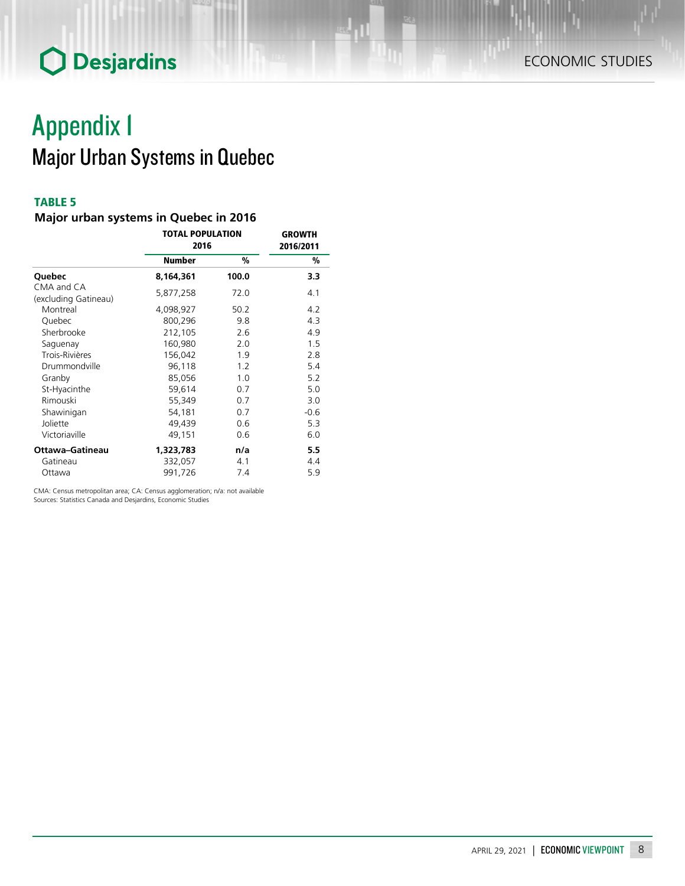## Appendix 1 Major Urban Systems in Quebec

### TABLE 5

### *Major urban systems in Quebec in 2016*

|                                    | <b>TOTAL POPULATION</b><br>2016 | <b>GROWTH</b><br>2016/2011 |        |
|------------------------------------|---------------------------------|----------------------------|--------|
|                                    | <b>Number</b>                   | %                          | %      |
| Quebec                             | 8,164,361                       | 100.0                      | 3.3    |
| CMA and CA<br>(excluding Gatineau) | 5,877,258                       | 72.0                       | 4.1    |
| Montreal                           | 4,098,927                       | 50.2                       | 4.2    |
| Quebec                             | 800,296                         | 9.8                        | 4.3    |
| Sherbrooke                         | 212,105                         | 2.6                        | 4.9    |
| Saguenay                           | 160,980                         | 2.0                        | 1.5    |
| Trois-Rivières                     | 156,042                         | 1.9                        | 2.8    |
| Drummondville                      | 96,118                          | 1.2                        | 5.4    |
| Granby                             | 85,056                          | 1.0                        | 5.2    |
| St-Hyacinthe                       | 59,614                          | 0.7                        | 5.0    |
| Rimouski                           | 55,349                          | 0.7                        | 3.0    |
| Shawinigan                         | 54,181                          | 0.7                        | $-0.6$ |
| Joliette                           | 49,439                          | 0.6                        | 5.3    |
| Victoriaville                      | 49,151                          | 0.6                        | 6.0    |
| Ottawa-Gatineau                    | 1,323,783                       | n/a                        | 5.5    |
| Gatineau                           | 332,057                         | 4.1                        | 4.4    |
| Ottawa                             | 991,726                         | 7.4                        | 5.9    |

CMA: Census metropolitan area; CA: Census agglomeration; n/a: not available Sources: Statistics Canada and Desjardins, Economic Studies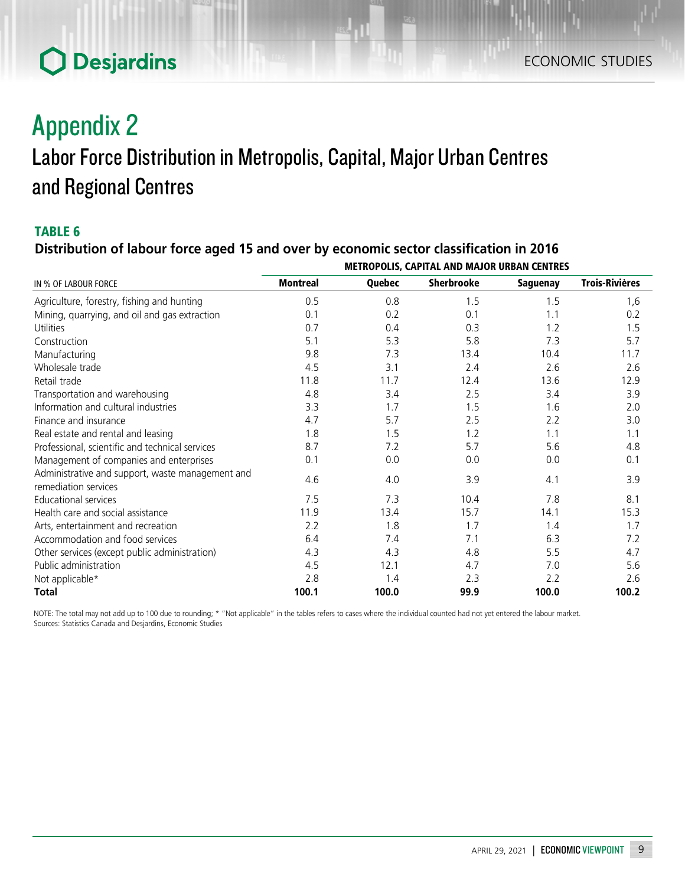## Appendix 2

### Labor Force Distribution in Metropolis, Capital, Major Urban Centres and Regional Centres

### TABLE 6

### *Distribution of labour force aged 15 and over by economic sector classification in 2016*

|                                                                          | VERS CALITAL AND MASON UNDAIL CENTINES |        |                   |                 |                       |  |
|--------------------------------------------------------------------------|----------------------------------------|--------|-------------------|-----------------|-----------------------|--|
| IN % OF LABOUR FORCE                                                     | <b>Montreal</b>                        | Quebec | <b>Sherbrooke</b> | <b>Saguenay</b> | <b>Trois-Rivières</b> |  |
| Agriculture, forestry, fishing and hunting                               | 0.5                                    | 0.8    | 1.5               | 1.5             | 1,6                   |  |
| Mining, quarrying, and oil and gas extraction                            | 0.1                                    | 0.2    | 0.1               | 1.1             | 0.2                   |  |
| Utilities                                                                | 0.7                                    | 0.4    | 0.3               | 1.2             | 1.5                   |  |
| Construction                                                             | 5.1                                    | 5.3    | 5.8               | 7.3             | 5.7                   |  |
| Manufacturing                                                            | 9.8                                    | 7.3    | 13.4              | 10.4            | 11.7                  |  |
| Wholesale trade                                                          | 4.5                                    | 3.1    | 2.4               | 2.6             | 2.6                   |  |
| Retail trade                                                             | 11.8                                   | 11.7   | 12.4              | 13.6            | 12.9                  |  |
| Transportation and warehousing                                           | 4.8                                    | 3.4    | 2.5               | 3.4             | 3.9                   |  |
| Information and cultural industries                                      | 3.3                                    | 1.7    | 1.5               | 1.6             | 2.0                   |  |
| Finance and insurance                                                    | 4.7                                    | 5.7    | 2.5               | 2.2             | 3.0                   |  |
| Real estate and rental and leasing                                       | 1.8                                    | 1.5    | 1.2               | 1.1             | 1.1                   |  |
| Professional, scientific and technical services                          | 8.7                                    | 7.2    | 5.7               | 5.6             | 4.8                   |  |
| Management of companies and enterprises                                  | 0.1                                    | 0.0    | 0.0               | 0.0             | 0.1                   |  |
| Administrative and support, waste management and<br>remediation services | 4.6                                    | 4.0    | 3.9               | 4.1             | 3.9                   |  |
| <b>Educational services</b>                                              | 7.5                                    | 7.3    | 10.4              | 7.8             | 8.1                   |  |
| Health care and social assistance                                        | 11.9                                   | 13.4   | 15.7              | 14.1            | 15.3                  |  |
| Arts, entertainment and recreation                                       | 2.2                                    | 1.8    | 1.7               | 1.4             | 1.7                   |  |
| Accommodation and food services                                          | 6.4                                    | 7.4    | 7.1               | 6.3             | 7.2                   |  |
| Other services (except public administration)                            | 4.3                                    | 4.3    | 4.8               | 5.5             | 4.7                   |  |
| Public administration                                                    | 4.5                                    | 12.1   | 4.7               | 7.0             | 5.6                   |  |
| Not applicable*                                                          | 2.8                                    | 1.4    | 2.3               | 2.2             | 2.6                   |  |
| <b>Total</b>                                                             | 100.1                                  | 100.0  | 99.9              | 100.0           | 100.2                 |  |

METROPOLIS, CAPITAL AND MAJOR URBAN CENTRES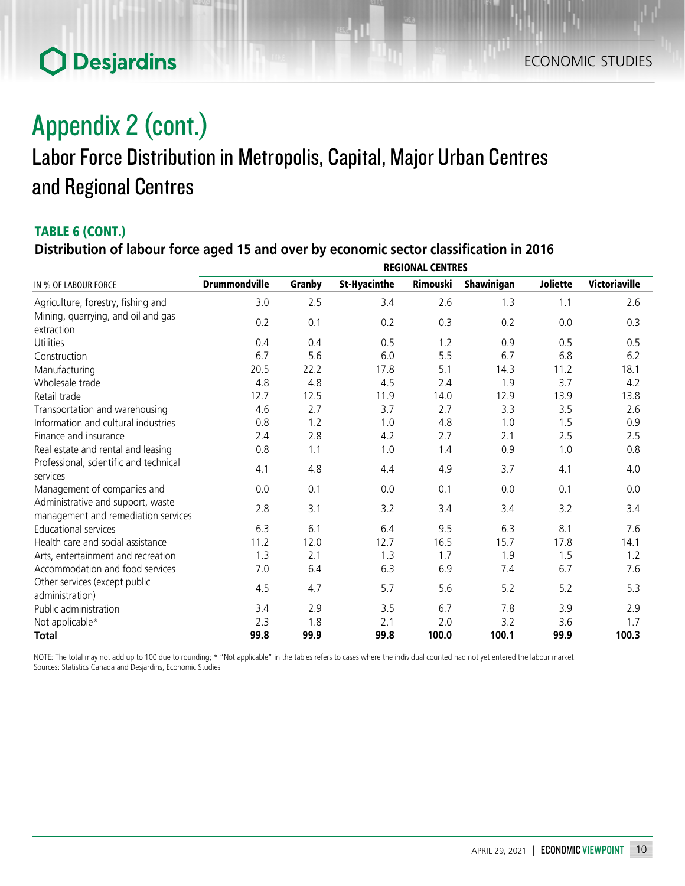### ECONOMIC STUDIES

## **O** Desjardins

## Appendix 2 (cont.) Labor Force Distribution in Metropolis, Capital, Major Urban Centres and Regional Centres

### TABLE 6 (CONT.)

### *Distribution of labour force aged 15 and over by economic sector classification in 2016*

|                                                                          | <b>REGIONAL CENTRES</b> |        |                     |          |            |                 |                      |
|--------------------------------------------------------------------------|-------------------------|--------|---------------------|----------|------------|-----------------|----------------------|
| IN % OF LABOUR FORCE                                                     | <b>Drummondville</b>    | Granby | <b>St-Hyacinthe</b> | Rimouski | Shawinigan | <b>Joliette</b> | <b>Victoriaville</b> |
| Agriculture, forestry, fishing and                                       | 3.0                     | 2.5    | 3.4                 | 2.6      | 1.3        | 1.1             | 2.6                  |
| Mining, quarrying, and oil and gas                                       | 0.2                     | 0.1    | 0.2                 | 0.3      | 0.2        | 0.0             | 0.3                  |
| extraction                                                               |                         |        |                     |          |            |                 |                      |
| Utilities                                                                | 0.4                     | 0.4    | 0.5                 | 1.2      | 0.9        | 0.5             | 0.5                  |
| Construction                                                             | 6.7                     | 5.6    | 6.0                 | 5.5      | 6.7        | 6.8             | 6.2                  |
| Manufacturing                                                            | 20.5                    | 22.2   | 17.8                | 5.1      | 14.3       | 11.2            | 18.1                 |
| Wholesale trade                                                          | 4.8                     | 4.8    | 4.5                 | 2.4      | 1.9        | 3.7             | 4.2                  |
| Retail trade                                                             | 12.7                    | 12.5   | 11.9                | 14.0     | 12.9       | 13.9            | 13.8                 |
| Transportation and warehousing                                           | 4.6                     | 2.7    | 3.7                 | 2.7      | 3.3        | 3.5             | 2.6                  |
| Information and cultural industries                                      | 0.8                     | 1.2    | 1.0                 | 4.8      | 1.0        | 1.5             | 0.9                  |
| Finance and insurance                                                    | 2.4                     | 2.8    | 4.2                 | 2.7      | 2.1        | 2.5             | 2.5                  |
| Real estate and rental and leasing                                       | 0.8                     | 1.1    | 1.0                 | 1.4      | 0.9        | 1.0             | 0.8                  |
| Professional, scientific and technical                                   | 4.1                     | 4.8    | 4.4                 | 4.9      | 3.7        | 4.1             | 4.0                  |
| services                                                                 |                         |        |                     |          |            |                 |                      |
| Management of companies and                                              | 0.0                     | 0.1    | 0.0                 | 0.1      | 0.0        | 0.1             | 0.0                  |
| Administrative and support, waste<br>management and remediation services | 2.8                     | 3.1    | 3.2                 | 3.4      | 3.4        | 3.2             | 3.4                  |
| <b>Educational services</b>                                              | 6.3                     | 6.1    | 6.4                 | 9.5      | 6.3        | 8.1             | 7.6                  |
| Health care and social assistance                                        | 11.2                    | 12.0   | 12.7                | 16.5     | 15.7       | 17.8            | 14.1                 |
| Arts, entertainment and recreation                                       | 1.3                     | 2.1    | 1.3                 | 1.7      | 1.9        | 1.5             | 1.2                  |
| Accommodation and food services                                          | 7.0                     | 6.4    | 6.3                 | 6.9      | 7.4        | 6.7             | 7.6                  |
| Other services (except public<br>administration)                         | 4.5                     | 4.7    | 5.7                 | 5.6      | 5.2        | 5.2             | 5.3                  |
| Public administration                                                    | 3.4                     | 2.9    | 3.5                 | 6.7      | 7.8        | 3.9             | 2.9                  |
| Not applicable*                                                          | 2.3                     | 1.8    | 2.1                 | 2.0      | 3.2        | 3.6             | 1.7                  |
| <b>Total</b>                                                             | 99.8                    | 99.9   | 99.8                | 100.0    | 100.1      | 99.9            | 100.3                |